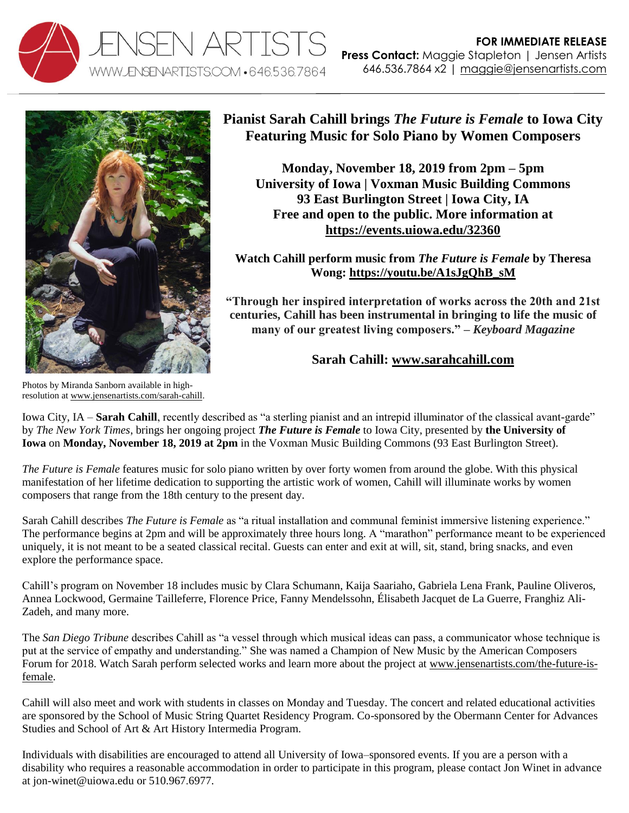



## **Pianist Sarah Cahill brings** *The Future is Female* **to Iowa City Featuring Music for Solo Piano by Women Composers**

**Monday, November 18, 2019 from 2pm – 5pm University of Iowa | Voxman Music Building Commons 93 East Burlington Street | Iowa City, IA Free and open to the public. More information at <https://events.uiowa.edu/32360>**

**Watch Cahill perform music from** *The Future is Female* **by Theresa Wong: [https://youtu.be/A1sJgQhB\\_sM](https://u7061146.ct.sendgrid.net/wf/click?upn=G62jSYfZdO-2F12d8lSllQB-2FiUVgB4KJRJ9YPZS0rhoALZDrduae4qHVn4WbUAVoNu_O9buOwWGADH5inJU4r-2BssGww-2BDIj1-2B3ZJ6XPnDKU4sAnS9vaR13b2-2B87KfifL0zGWkxnXSp0SjEKn0rlYVihwFV2yNz2MVQXJ3YirnG5jDo3Cb1MFpocS5L02eaPlktN5wJIcMHAaOh6q7fkqFMvQcrqlIwY-2BCkJPBNDobU9UsvG7PXcSK6uwZA4IPrhcy1UarW7Br6lBuq2pPj9D3Q75qJsNR9OJDK5luTszUYsH8yHdrlSFfmi5vtljXNcCv3mEnA18xWuf1Kp2zMxg9ehlK3HjUl3WuCCtBRpCr6IMBRNys2ZhhAkWENzR9pUdq-2FQkIJZCqTjaEZmaYdTKdqdrtxQ2HBBiZp3IMOJGCJ9HVE-3D)**

**"Through her inspired interpretation of works across the 20th and 21st centuries, Cahill has been instrumental in bringing to life the music of many of our greatest living composers." –** *Keyboard Magazine*

## **Sarah Cahill: [www.sarahcahill.com](http://www.sarahcahill.com/)**

Photos by Miranda Sanborn available in highresolution a[t www.jensenartists.com/sarah-cahill.](http://www.jensenartists.com/sarah-cahill)

Iowa City, IA – **Sarah Cahill**, recently described as "a sterling pianist and an intrepid illuminator of the classical avant-garde" by *The New York Times*, brings her ongoing project *The Future is Female* to Iowa City, presented by **the University of Iowa** on **Monday, November 18, 2019 at 2pm** in the Voxman Music Building Commons (93 East Burlington Street).

*The Future is Female* features music for solo piano written by over forty women from around the globe. With this physical manifestation of her lifetime dedication to supporting the artistic work of women, Cahill will illuminate works by women composers that range from the 18th century to the present day.

Sarah Cahill describes *The Future is Female* as "a ritual installation and communal feminist immersive listening experience." The performance begins at 2pm and will be approximately three hours long. A "marathon" performance meant to be experienced uniquely, it is not meant to be a seated classical recital. Guests can enter and exit at will, sit, stand, bring snacks, and even explore the performance space.

Cahill's program on November 18 includes music by Clara Schumann, Kaija Saariaho, Gabriela Lena Frank, Pauline Oliveros, Annea Lockwood, Germaine Tailleferre, Florence Price, Fanny Mendelssohn, Élisabeth Jacquet de La Guerre, Franghiz Ali-Zadeh, and many more.

The *San Diego Tribune* describes Cahill as "a vessel through which musical ideas can pass, a communicator whose technique is put at the service of empathy and understanding." She was named a Champion of New Music by the American Composers Forum for 2018. Watch Sarah perform selected works and learn more about the project at [www.jensenartists.com/the-future-is](https://u7061146.ct.sendgrid.net/wf/click?upn=84Em28S1K9SvtzcUtu04El4Q34ZAmOP62FgumPquIwXuZYx4bMMNj3lnMbyrqkejGnOIm4H3oBJL1n8-2Fi-2FpnrQ-3D-3D_O9buOwWGADH5inJU4r-2BssGww-2BDIj1-2B3ZJ6XPnDKU4sAnS9vaR13b2-2B87KfifL0zGWkxnXSp0SjEKn0rlYVihwFV2yNz2MVQXJ3YirnG5jDo3Cb1MFpocS5L02eaPlktN5wJIcMHAaOh6q7fkqFMvQcrqlIwY-2BCkJPBNDobU9UsvG7PXcSK6uwZA4IPrhcy1UarW7Br6lBuq2pPj9D3Q75lQ4uylN3FgHTnoAsKqtV9gznaFUFn5Psga4ZFeF4fy4YWC2YBU5S9KQqobOKnyJCHlR5SJjlxKBTGBThg2UYJjaeu-2FnWCV4WAVoY6hvfnS4rnCGTxP98I0KBqS6azX1-2Ff8wrSj1JGBTlO-2Bx3n2u1Uo-3D)[female.](https://u7061146.ct.sendgrid.net/wf/click?upn=84Em28S1K9SvtzcUtu04El4Q34ZAmOP62FgumPquIwXuZYx4bMMNj3lnMbyrqkejGnOIm4H3oBJL1n8-2Fi-2FpnrQ-3D-3D_O9buOwWGADH5inJU4r-2BssGww-2BDIj1-2B3ZJ6XPnDKU4sAnS9vaR13b2-2B87KfifL0zGWkxnXSp0SjEKn0rlYVihwFV2yNz2MVQXJ3YirnG5jDo3Cb1MFpocS5L02eaPlktN5wJIcMHAaOh6q7fkqFMvQcrqlIwY-2BCkJPBNDobU9UsvG7PXcSK6uwZA4IPrhcy1UarW7Br6lBuq2pPj9D3Q75lQ4uylN3FgHTnoAsKqtV9gznaFUFn5Psga4ZFeF4fy4YWC2YBU5S9KQqobOKnyJCHlR5SJjlxKBTGBThg2UYJjaeu-2FnWCV4WAVoY6hvfnS4rnCGTxP98I0KBqS6azX1-2Ff8wrSj1JGBTlO-2Bx3n2u1Uo-3D)

Cahill will also meet and work with students in classes on Monday and Tuesday. The concert and related educational activities are sponsored by the School of Music String Quartet Residency Program. Co-sponsored by the Obermann Center for Advances Studies and School of Art & Art History Intermedia Program.

Individuals with disabilities are encouraged to attend all University of Iowa–sponsored events. If you are a person with a disability who requires a reasonable accommodation in order to participate in this program, please contact Jon Winet in advance at jon-winet@uiowa.edu or 510.967.6977.